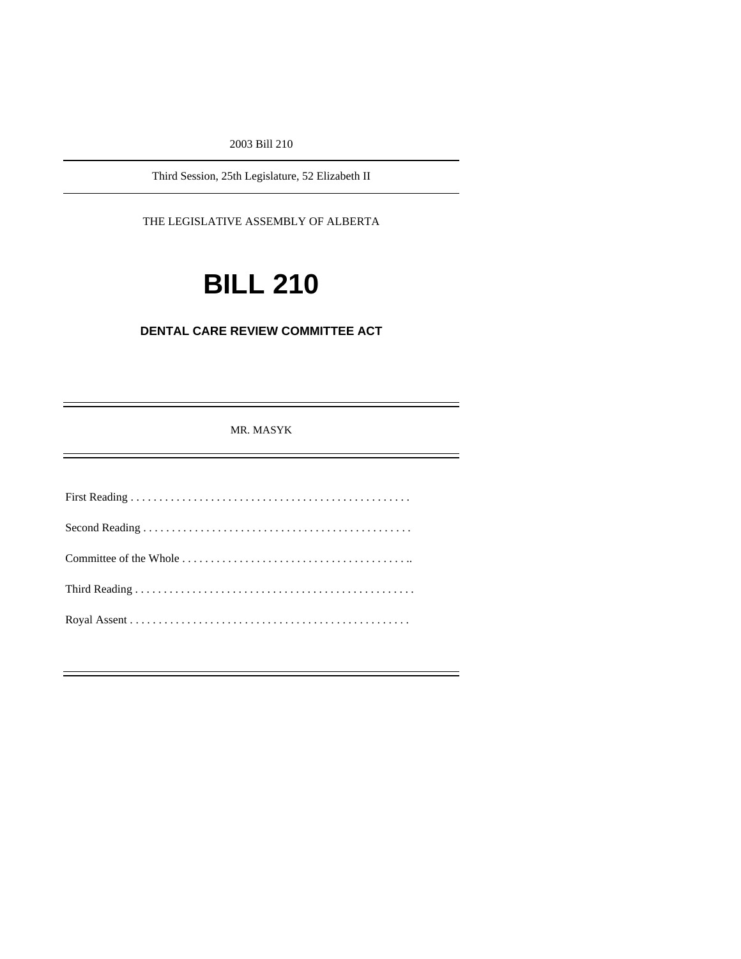2003 Bill 210

Third Session, 25th Legislature, 52 Elizabeth II

THE LEGISLATIVE ASSEMBLY OF ALBERTA

# **BILL 210**

## **DENTAL CARE REVIEW COMMITTEE ACT**

MR. MASYK

Ĩ.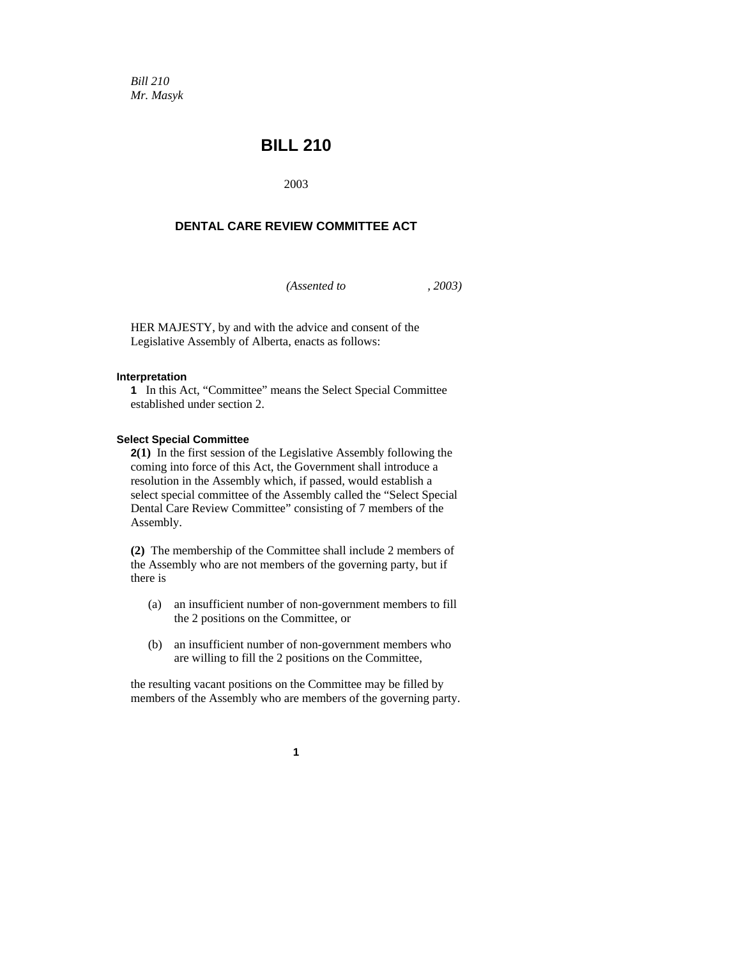*Bill 210 Mr. Masyk* 

# **BILL 210**

2003

### **DENTAL CARE REVIEW COMMITTEE ACT**

*(Assented to , 2003)* 

HER MAJESTY, by and with the advice and consent of the Legislative Assembly of Alberta, enacts as follows:

#### **Interpretation**

**1** In this Act, "Committee" means the Select Special Committee established under section 2.

#### **Select Special Committee**

**2(1)** In the first session of the Legislative Assembly following the coming into force of this Act, the Government shall introduce a resolution in the Assembly which, if passed, would establish a select special committee of the Assembly called the "Select Special Dental Care Review Committee" consisting of 7 members of the Assembly.

**(2)** The membership of the Committee shall include 2 members of the Assembly who are not members of the governing party, but if there is

- (a) an insufficient number of non-government members to fill the 2 positions on the Committee, or
- (b) an insufficient number of non-government members who are willing to fill the 2 positions on the Committee,

the resulting vacant positions on the Committee may be filled by members of the Assembly who are members of the governing party.

**1**